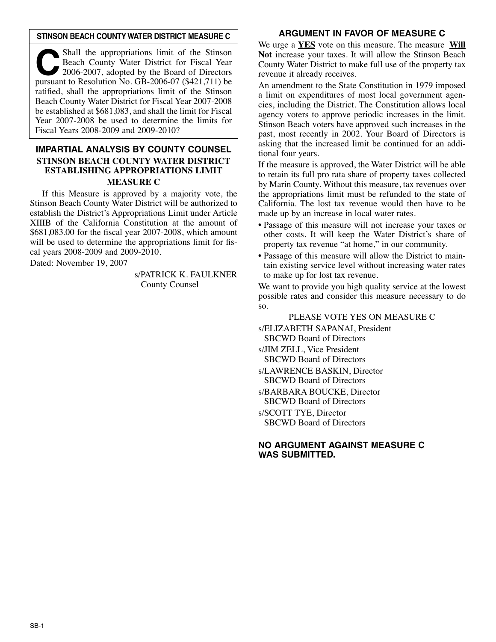#### **STINSON BEACH COUNTY WATER DISTRICT MEASURE C**

Shall the appropriations limit of the Stinson<br>
2006-2007, adopted by the Board of Directors<br>
Pursuant to Resolution No. GB-2006-07 (\$421.711) be Beach County Water District for Fiscal Year pursuant to Resolution No. GB-2006-07 (\$421,711) be ratified, shall the appropriations limit of the Stinson Beach County Water District for Fiscal Year 2007-2008 be established at \$681,083, and shall the limit for Fiscal Year 2007-2008 be used to determine the limits for Fiscal Years 2008-2009 and 2009-2010?

# **IMPARTIAL ANALYSIS BY COUNTY COUNSEL STINSON BEACH COUNTY WATER DISTRICT ESTABLISHING APPROPRIATIONS LIMIT MEASURE C**

If this Measure is approved by a majority vote, the Stinson Beach County Water District will be authorized to establish the District's Appropriations Limit under Article XIIIB of the California Constitution at the amount of \$681,083.00 for the fiscal year 2007-2008, which amount will be used to determine the appropriations limit for fiscal years 2008-2009 and 2009-2010.

Dated: November 19, 2007

s/PATRICK K. FAULKNER County Counsel

## **ARGUMENT IN FAVOR OF MEASURE C**

We urge a **YES** vote on this measure. The measure **Will Not** increase your taxes. It will allow the Stinson Beach County Water District to make full use of the property tax revenue it already receives.

An amendment to the State Constitution in 1979 imposed a limit on expenditures of most local government agencies, including the District. The Constitution allows local agency voters to approve periodic increases in the limit. Stinson Beach voters have approved such increases in the past, most recently in 2002. Your Board of Directors is asking that the increased limit be continued for an additional four years.

If the measure is approved, the Water District will be able to retain its full pro rata share of property taxes collected by Marin County. Without this measure, tax revenues over the appropriations limit must be refunded to the state of California. The lost tax revenue would then have to be made up by an increase in local water rates.

- Passage of this measure will not increase your taxes or other costs. It will keep the Water District's share of property tax revenue "at home," in our community.
- Passage of this measure will allow the District to maintain existing service level without increasing water rates to make up for lost tax revenue.

We want to provide you high quality service at the lowest possible rates and consider this measure necessary to do so.

PLEASE VOTE YES ON MEASURE C s/ELIZABETH SAPANAI, President SBCWD Board of Directors s/JIM ZELL, Vice President SBCWD Board of Directors s/LAWRENCE BASKIN, Director SBCWD Board of Directors s/BARBARA BOUCKE, Director SBCWD Board of Directors s/SCOTT TYE, Director SBCWD Board of Directors

## **NO ARGUMENT AGAINST MEASURE C WAS SUBMITTED.**